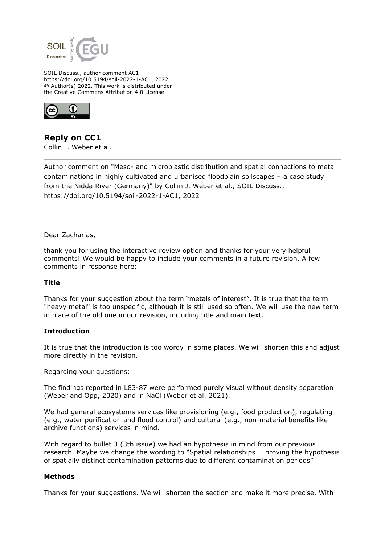

SOIL Discuss., author comment AC1 https://doi.org/10.5194/soil-2022-1-AC1, 2022 © Author(s) 2022. This work is distributed under the Creative Commons Attribution 4.0 License.



**Reply on CC1** Collin J. Weber et al.

Author comment on "Meso- and microplastic distribution and spatial connections to metal contaminations in highly cultivated and urbanised floodplain soilscapes – a case study from the Nidda River (Germany)" by Collin J. Weber et al., SOIL Discuss., https://doi.org/10.5194/soil-2022-1-AC1, 2022

Dear Zacharias,

thank you for using the interactive review option and thanks for your very helpful comments! We would be happy to include your comments in a future revision. A few comments in response here:

# **Title**

Thanks for your suggestion about the term "metals of interest". It is true that the term "heavy metal" is too unspecific, although it is still used so often. We will use the new term in place of the old one in our revision, including title and main text.

# **Introduction**

It is true that the introduction is too wordy in some places. We will shorten this and adjust more directly in the revision.

Regarding your questions:

The findings reported in L83-87 were performed purely visual without density separation (Weber and Opp, 2020) and in NaCl (Weber et al. 2021).

We had general ecosystems services like provisioning (e.g., food production), regulating (e.g., water purification and flood control) and cultural (e.g., non-material benefits like archive functions) services in mind.

With regard to bullet 3 (3th issue) we had an hypothesis in mind from our previous research. Maybe we change the wording to "Spatial relationships … proving the hypothesis of spatially distinct contamination patterns due to different contamination periods"

# **Methods**

Thanks for your suggestions. We will shorten the section and make it more precise. With